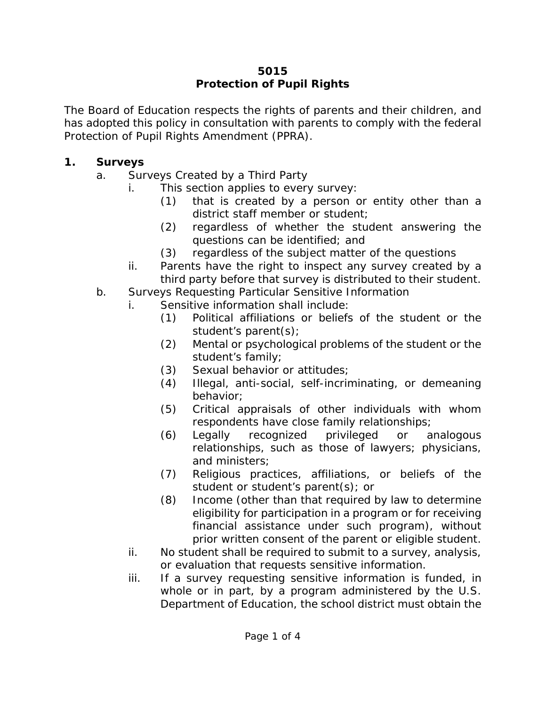#### **5015 Protection of Pupil Rights**

The Board of Education respects the rights of parents and their children, and has adopted this policy in consultation with parents to comply with the federal Protection of Pupil Rights Amendment (PPRA).

#### **1. Surveys**

- a. Surveys Created by a Third Party
	- i. This section applies to every survey:
		- (1) that is created by a person or entity other than a district staff member or student;
		- (2) regardless of whether the student answering the questions can be identified; and
		- (3) regardless of the subject matter of the questions
	- ii. Parents have the right to inspect any survey created by a third party before that survey is distributed to their student.
- b. Surveys Requesting Particular Sensitive Information
	- i. Sensitive information shall include:
		- (1) Political affiliations or beliefs of the student or the student's parent(s);
		- (2) Mental or psychological problems of the student or the student's family;
		- (3) Sexual behavior or attitudes;
		- (4) Illegal, anti-social, self-incriminating, or demeaning behavior;
		- (5) Critical appraisals of other individuals with whom respondents have close family relationships;
		- (6) Legally recognized privileged or analogous relationships, such as those of lawyers; physicians, and ministers;
		- (7) Religious practices, affiliations, or beliefs of the student or student's parent(s); or
		- (8) Income (other than that required by law to determine eligibility for participation in a program or for receiving financial assistance under such program), without prior written consent of the parent or eligible student.
		- ii. No student shall be required to submit to a survey, analysis, or evaluation that requests sensitive information.
		- iii. If a survey requesting sensitive information is funded, in whole or in part, by a program administered by the U.S. Department of Education, the school district must obtain the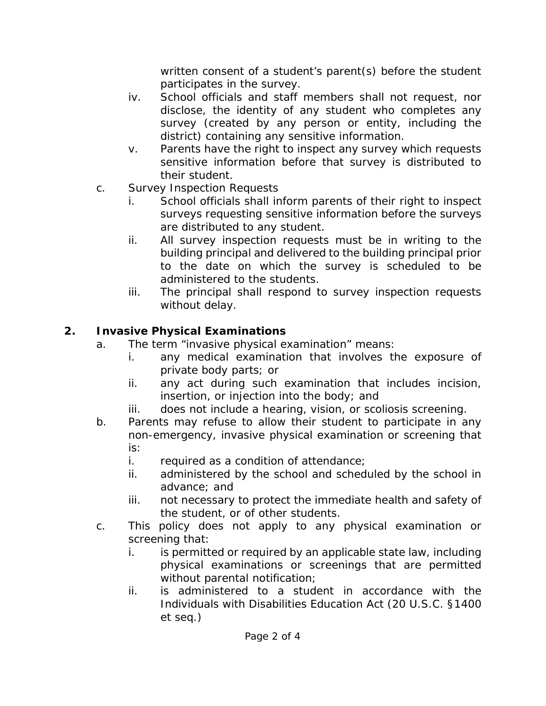written consent of a student's parent(s) before the student participates in the survey.

- iv. School officials and staff members shall not request, nor disclose, the identity of any student who completes any survey (created by any person or entity, including the district) containing any sensitive information.
- v. Parents have the right to inspect any survey which requests sensitive information before that survey is distributed to their student.
- c. Survey Inspection Requests
	- i. School officials shall inform parents of their right to inspect surveys requesting sensitive information before the surveys are distributed to any student.
	- ii. All survey inspection requests must be in writing to the building principal and delivered to the building principal prior to the date on which the survey is scheduled to be administered to the students.
	- iii. The principal shall respond to survey inspection requests without delay.

# **2. Invasive Physical Examinations**

- a. The term "invasive physical examination" means:
	- i. any medical examination that involves the exposure of private body parts; or
	- ii. any act during such examination that includes incision, insertion, or injection into the body; and
	- iii. does not include a hearing, vision, or scoliosis screening.
- b. Parents may refuse to allow their student to participate in any non-emergency, invasive physical examination or screening that is:
	- i. required as a condition of attendance;
	- ii. administered by the school and scheduled by the school in advance; and
	- iii. not necessary to protect the immediate health and safety of the student, or of other students.
- c. This policy does not apply to any physical examination or screening that:
	- i. is permitted or required by an applicable state law, including physical examinations or screenings that are permitted without parental notification;
	- ii. is administered to a student in accordance with the Individuals with Disabilities Education Act (20 U.S.C. §1400 *et seq*.)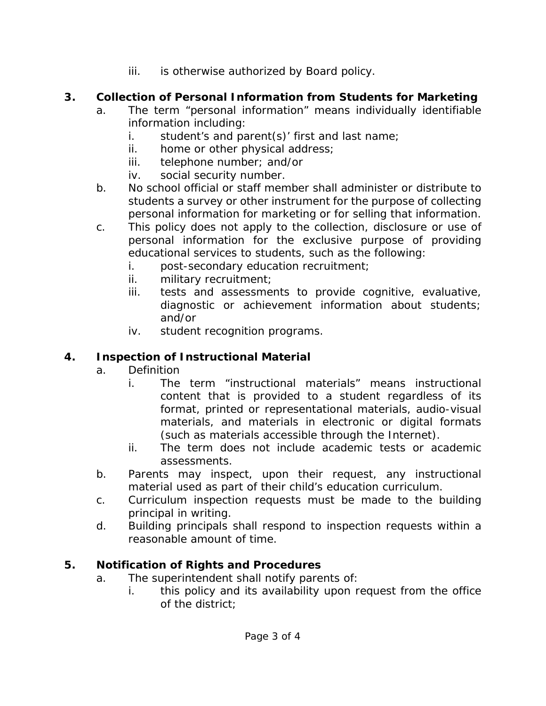iii. is otherwise authorized by Board policy.

## **3. Collection of Personal Information from Students for Marketing**

- a. The term "personal information" means individually identifiable information including:
	- i. student's and parent(s)' first and last name;
	- ii. home or other physical address;
	- iii. telephone number; and/or
	- iv. social security number.
- b. No school official or staff member shall administer or distribute to students a survey or other instrument for the purpose of collecting personal information for marketing or for selling that information.
- c. This policy does not apply to the collection, disclosure or use of personal information for the exclusive purpose of providing educational services to students, such as the following:
	- i. post-secondary education recruitment;
	- ii. military recruitment;
	- iii. tests and assessments to provide cognitive, evaluative, diagnostic or achievement information about students; and/or
	- iv. student recognition programs.

## **4. Inspection of Instructional Material**

- a. Definition
	- i. The term "instructional materials" means instructional content that is provided to a student regardless of its format, printed or representational materials, audio-visual materials, and materials in electronic or digital formats (such as materials accessible through the Internet).
	- ii. The term does not include academic tests or academic assessments.
- b. Parents may inspect, upon their request, any instructional material used as part of their child's education curriculum.
- c. Curriculum inspection requests must be made to the building principal in writing.
- d. Building principals shall respond to inspection requests within a reasonable amount of time.

# **5. Notification of Rights and Procedures**

- a. The superintendent shall notify parents of:
	- i. this policy and its availability upon request from the office of the district;